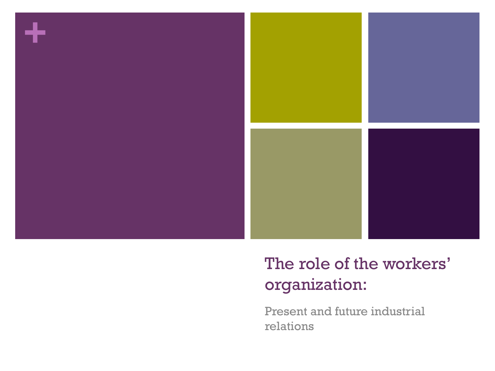

#### The role of the workers' organization:

Present and future industrial relations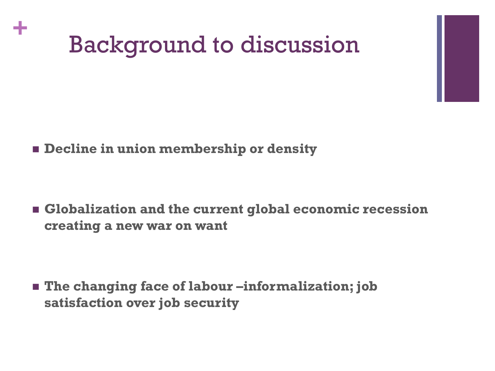# Background to discussion

**Decline in union membership or density**

**+**

 **Globalization and the current global economic recession creating a new war on want**

 **The changing face of labour –informalization; job satisfaction over job security**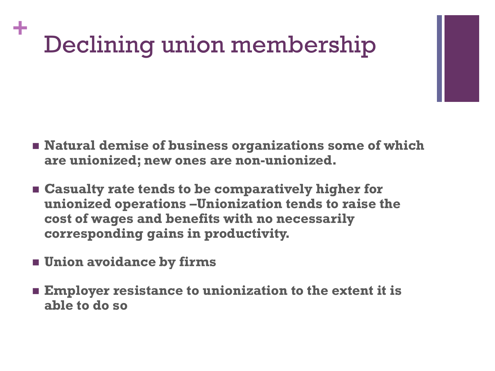#### **+** Declining union membership

- **Natural demise of business organizations some of which are unionized; new ones are non-unionized.**
- **Casualty rate tends to be comparatively higher for unionized operations –Unionization tends to raise the cost of wages and benefits with no necessarily corresponding gains in productivity.**
- **Union avoidance by firms**
- **Employer resistance to unionization to the extent it is able to do so**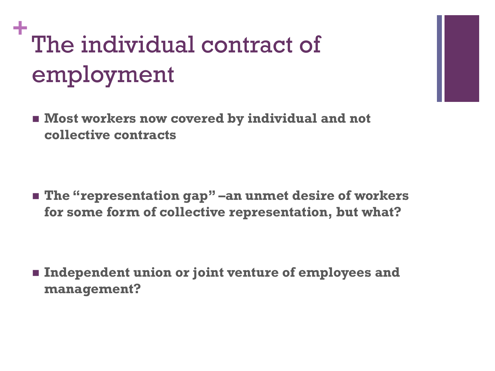## **+** The individual contract of employment

 $\blacksquare$  Most workers now covered by individual and not **collective contracts**

■ The "representation gap" –an unmet desire of workers **for some form of collective representation, but what?**

 **Independent union or joint venture of employees and management?**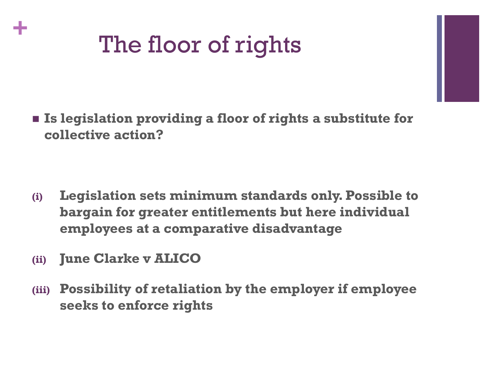

 **Is legislation providing a floor of rights a substitute for collective action?** 

- **(i) Legislation sets minimum standards only. Possible to bargain for greater entitlements but here individual employees at a comparative disadvantage**
- **(ii) June Clarke v ALICO**

**+**

**(iii) Possibility of retaliation by the employer if employee seeks to enforce rights**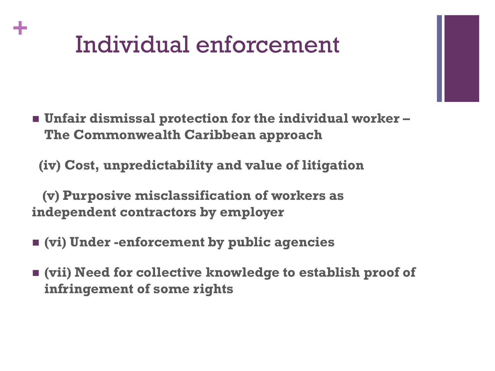## Individual enforcement

**+**

 **Unfair dismissal protection for the individual worker – The Commonwealth Caribbean approach**

 **(iv) Cost, unpredictability and value of litigation**

 **(v) Purposive misclassification of workers as independent contractors by employer**

- **(vi) Under -enforcement by public agencies**
- **(vii) Need for collective knowledge to establish proof of infringement of some rights**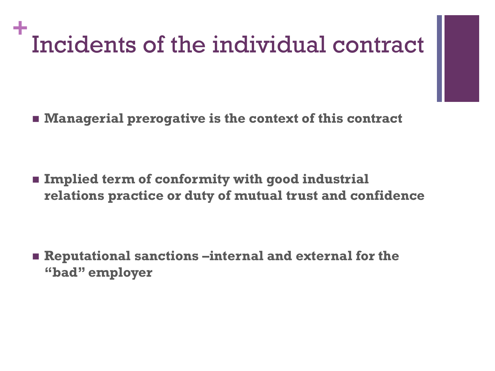### **+** Incidents of the individual contract

**Managerial prerogative is the context of this contract**

 **Implied term of conformity with good industrial relations practice or duty of mutual trust and confidence**

 **Reputational sanctions –internal and external for the "bad" employer**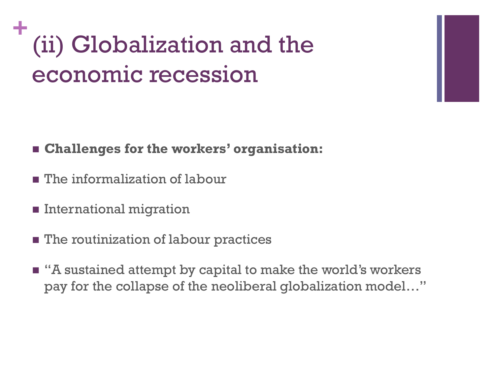### **+** (ii) Globalization and the economic recession

- **Challenges for the workers' organisation:**
- **The informalization of labour**
- **International migration**
- **The routinization of labour practices**
- "A sustained attempt by capital to make the world's workers pay for the collapse of the neoliberal globalization model…"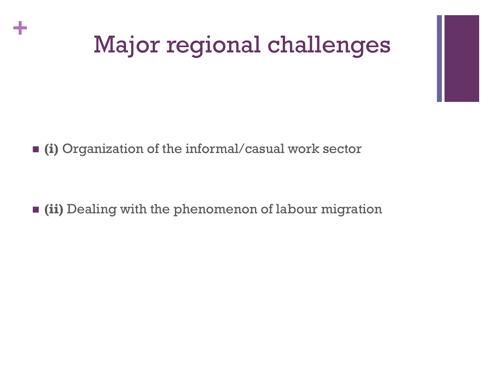## Major regional challenges

**(i)** Organization of the informal/casual work sector

**+**

**(ii)** Dealing with the phenomenon of labour migration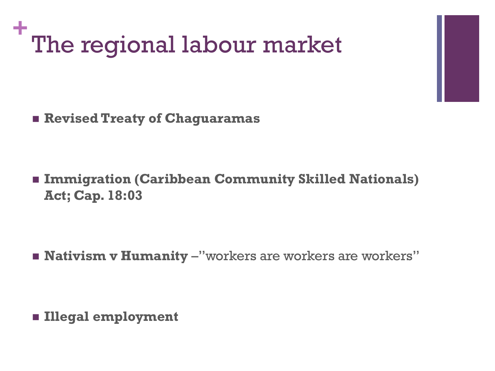

**Revised Treaty of Chaguaramas**

 **Immigration (Caribbean Community Skilled Nationals) Act; Cap. 18:03**

**Nativism v Humanity** – "workers are workers are workers"

**Illegal employment**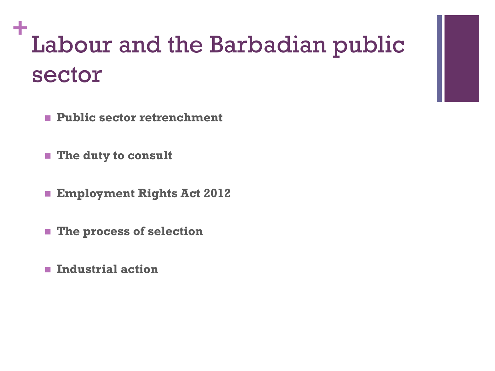### **+** Labour and the Barbadian public sector

- **Public sector retrenchment**
- **The duty to consult**
- **Employment Rights Act 2012**
- **The process of selection**
- **Industrial action**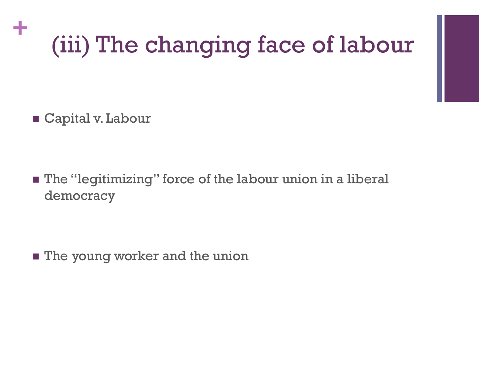# (iii) The changing face of labour

Capital v. Labour

**+**

 The "legitimizing" force of the labour union in a liberal democracy

**The young worker and the union**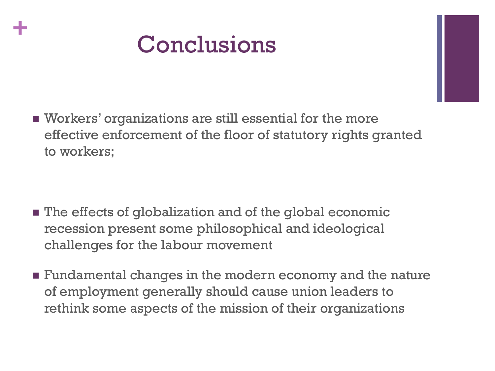

**+**

 Workers' organizations are still essential for the more effective enforcement of the floor of statutory rights granted to workers;

- **n** The effects of globalization and of the global economic recession present some philosophical and ideological challenges for the labour movement
- **Fundamental changes in the modern economy and the nature** of employment generally should cause union leaders to rethink some aspects of the mission of their organizations